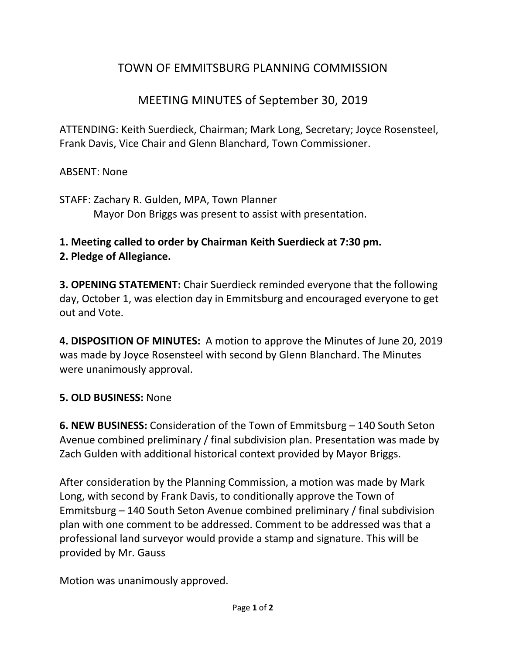# TOWN OF EMMITSBURG PLANNING COMMISSION

## MEETING MINUTES of September 30, 2019

ATTENDING: Keith Suerdieck, Chairman; Mark Long, Secretary; Joyce Rosensteel, Frank Davis, Vice Chair and Glenn Blanchard, Town Commissioner.

#### ABSENT: None

STAFF: Zachary R. Gulden, MPA, Town Planner Mayor Don Briggs was present to assist with presentation.

### **1. Meeting called to order by Chairman Keith Suerdieck at 7:30 pm.**

### **2. Pledge of Allegiance.**

**3. OPENING STATEMENT:** Chair Suerdieck reminded everyone that the following day, October 1, was election day in Emmitsburg and encouraged everyone to get out and Vote.

**4. DISPOSITION OF MINUTES:** A motion to approve the Minutes of June 20, 2019 was made by Joyce Rosensteel with second by Glenn Blanchard. The Minutes were unanimously approval.

### **5. OLD BUSINESS:** None

**6. NEW BUSINESS:** Consideration of the Town of Emmitsburg – 140 South Seton Avenue combined preliminary / final subdivision plan. Presentation was made by Zach Gulden with additional historical context provided by Mayor Briggs.

After consideration by the Planning Commission, a motion was made by Mark Long, with second by Frank Davis, to conditionally approve the Town of Emmitsburg – 140 South Seton Avenue combined preliminary / final subdivision plan with one comment to be addressed. Comment to be addressed was that a professional land surveyor would provide a stamp and signature. This will be provided by Mr. Gauss

Motion was unanimously approved.